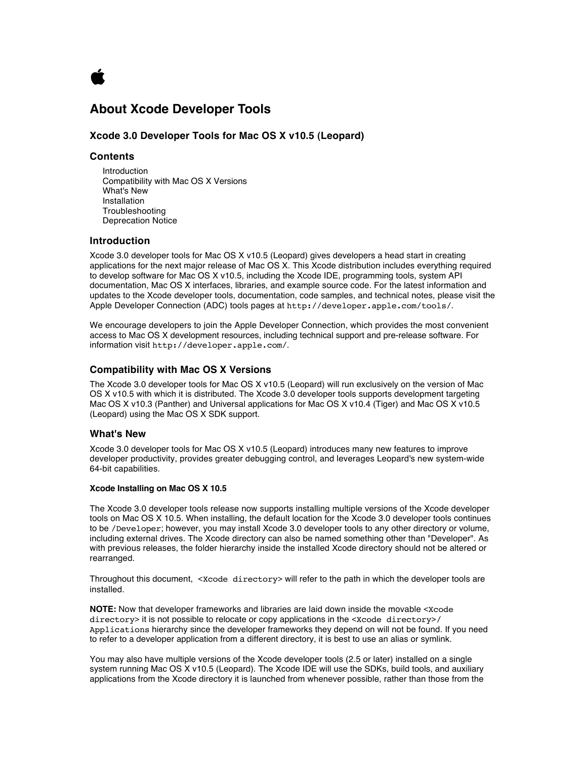

# **About Xcode Developer Tools**

# **Xcode 3.0 Developer Tools for Mac OS X v10.5 (Leopard)**

# **Contents**

Introduction Compatibility with Mac OS X Versions What's New Installation Troubleshooting Deprecation Notice

# **Introduction**

Xcode 3.0 developer tools for Mac OS X v10.5 (Leopard) gives developers a head start in creating applications for the next major release of Mac OS X. This Xcode distribution includes everything required to develop software for Mac OS X v10.5, including the Xcode IDE, programming tools, system API documentation, Mac OS X interfaces, libraries, and example source code. For the latest information and updates to the Xcode developer tools, documentation, code samples, and technical notes, please visit the Apple Developer Connection (ADC) tools pages at http://developer.apple.com/tools/.

We encourage developers to join the Apple Developer Connection, which provides the most convenient access to Mac OS X development resources, including technical support and pre-release software. For information visit http://developer.apple.com/.

### **Compatibility with Mac OS X Versions**

The Xcode 3.0 developer tools for Mac OS X v10.5 (Leopard) will run exclusively on the version of Mac OS X v10.5 with which it is distributed. The Xcode 3.0 developer tools supports development targeting Mac OS X v10.3 (Panther) and Universal applications for Mac OS X v10.4 (Tiger) and Mac OS X v10.5 (Leopard) using the Mac OS X SDK support.

# **What's New**

Xcode 3.0 developer tools for Mac OS X v10.5 (Leopard) introduces many new features to improve developer productivity, provides greater debugging control, and leverages Leopard's new system-wide 64-bit capabilities.

# **Xcode Installing on Mac OS X 10.5**

The Xcode 3.0 developer tools release now supports installing multiple versions of the Xcode developer tools on Mac OS X 10.5. When installing, the default location for the Xcode 3.0 developer tools continues to be /Developer; however, you may install Xcode 3.0 developer tools to any other directory or volume, including external drives. The Xcode directory can also be named something other than "Developer". As with previous releases, the folder hierarchy inside the installed Xcode directory should not be altered or rearranged.

Throughout this document, <Xcode directory> will refer to the path in which the developer tools are installed.

**NOTE:** Now that developer frameworks and libraries are laid down inside the movable <Xcode directory> it is not possible to relocate or copy applications in the <Xcode directory>/ Applications hierarchy since the developer frameworks they depend on will not be found. If you need to refer to a developer application from a different directory, it is best to use an alias or symlink.

You may also have multiple versions of the Xcode developer tools (2.5 or later) installed on a single system running Mac OS X v10.5 (Leopard). The Xcode IDE will use the SDKs, build tools, and auxiliary applications from the Xcode directory it is launched from whenever possible, rather than those from the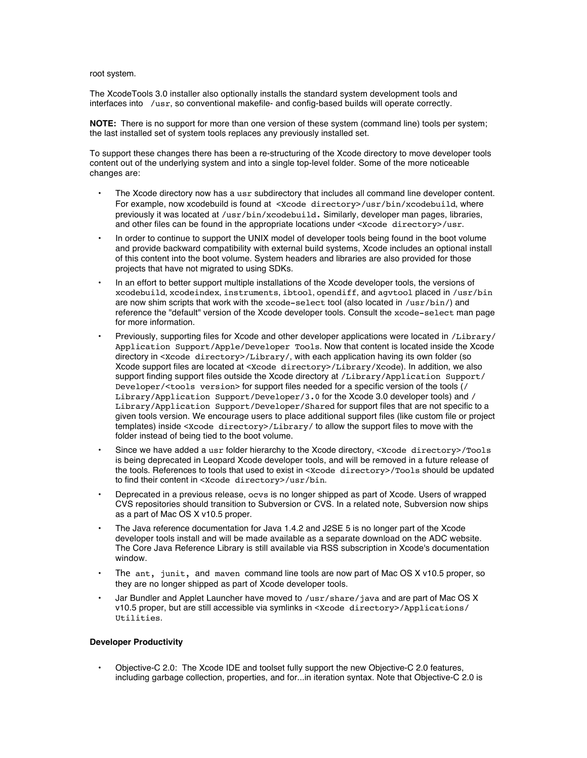root system.

The XcodeTools 3.0 installer also optionally installs the standard system development tools and interfaces into /usr, so conventional makefile- and config-based builds will operate correctly.

**NOTE:** There is no support for more than one version of these system (command line) tools per system; the last installed set of system tools replaces any previously installed set.

To support these changes there has been a re-structuring of the Xcode directory to move developer tools content out of the underlying system and into a single top-level folder. Some of the more noticeable changes are:

- The Xcode directory now has a usr subdirectory that includes all command line developer content. For example, now xcodebuild is found at <Xcode directory>/usr/bin/xcodebuild, where previously it was located at /usr/bin/xcodebuild. Similarly, developer man pages, libraries, and other files can be found in the appropriate locations under <Xcode directory>/usr.
- In order to continue to support the UNIX model of developer tools being found in the boot volume and provide backward compatibility with external build systems, Xcode includes an optional install of this content into the boot volume. System headers and libraries are also provided for those projects that have not migrated to using SDKs.
- In an effort to better support multiple installations of the Xcode developer tools, the versions of xcodebuild, xcodeindex, instruments, ibtool, opendiff, and agvtool placed in /usr/bin are now shim scripts that work with the xcode-select tool (also located in /usr/bin/) and reference the "default" version of the Xcode developer tools. Consult the xcode-select man page for more information.
- Previously, supporting files for Xcode and other developer applications were located in /Library/ Application Support/Apple/Developer Tools. Now that content is located inside the Xcode directory in <Xcode directory>/Library/, with each application having its own folder (so Xcode support files are located at <Xcode directory>/Library/Xcode). In addition, we also support finding support files outside the Xcode directory at /Library/Application Support/ Developer/<tools version> for support files needed for a specific version of the tools (/ Library/Application Support/Developer/3.0 for the Xcode 3.0 developer tools) and / Library/Application Support/Developer/Shared for support files that are not specific to a given tools version. We encourage users to place additional support files (like custom file or project templates) inside <Xcode directory>/Library/ to allow the support files to move with the folder instead of being tied to the boot volume.
- Since we have added a usr folder hierarchy to the Xcode directory, <Xcode directory>/Tools is being deprecated in Leopard Xcode developer tools, and will be removed in a future release of the tools. References to tools that used to exist in <xcode directory>/Tools should be updated to find their content in <Xcode directory>/usr/bin.
- Deprecated in a previous release, ocvs is no longer shipped as part of Xcode. Users of wrapped CVS repositories should transition to Subversion or CVS. In a related note, Subversion now ships as a part of Mac OS X v10.5 proper.
- The Java reference documentation for Java 1.4.2 and J2SE 5 is no longer part of the Xcode developer tools install and will be made available as a separate download on the ADC website. The Core Java Reference Library is still available via RSS subscription in Xcode's documentation window.
- The ant, junit, and maven command line tools are now part of Mac OS X v10.5 proper, so they are no longer shipped as part of Xcode developer tools.
- Jar Bundler and Applet Launcher have moved to /usr/share/java and are part of Mac OS X v10.5 proper, but are still accessible via symlinks in <Xcode directory>/Applications/ Utilities.

# **Developer Productivity**

• Objective-C 2.0: The Xcode IDE and toolset fully support the new Objective-C 2.0 features, including garbage collection, properties, and for...in iteration syntax. Note that Objective-C 2.0 is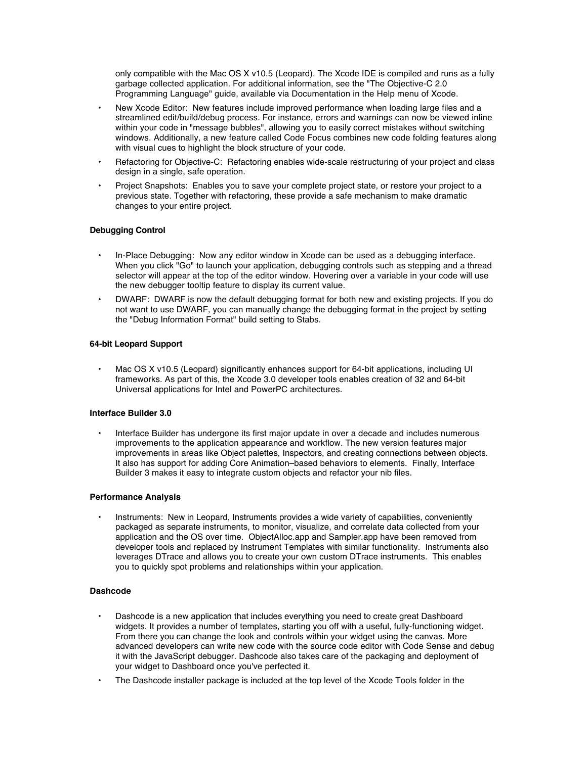only compatible with the Mac OS X v10.5 (Leopard). The Xcode IDE is compiled and runs as a fully garbage collected application. For additional information, see the "The Objective-C 2.0 Programming Language" guide, available via Documentation in the Help menu of Xcode.

- New Xcode Editor: New features include improved performance when loading large files and a streamlined edit/build/debug process. For instance, errors and warnings can now be viewed inline within your code in "message bubbles", allowing you to easily correct mistakes without switching windows. Additionally, a new feature called Code Focus combines new code folding features along with visual cues to highlight the block structure of your code.
- Refactoring for Objective-C: Refactoring enables wide-scale restructuring of your project and class design in a single, safe operation.
- Project Snapshots: Enables you to save your complete project state, or restore your project to a previous state. Together with refactoring, these provide a safe mechanism to make dramatic changes to your entire project.

# **Debugging Control**

- In-Place Debugging: Now any editor window in Xcode can be used as a debugging interface. When you click "Go" to launch your application, debugging controls such as stepping and a thread selector will appear at the top of the editor window. Hovering over a variable in your code will use the new debugger tooltip feature to display its current value.
- DWARF: DWARF is now the default debugging format for both new and existing projects. If you do not want to use DWARF, you can manually change the debugging format in the project by setting the "Debug Information Format" build setting to Stabs.

#### **64-bit Leopard Support**

• Mac OS X v10.5 (Leopard) significantly enhances support for 64-bit applications, including UI frameworks. As part of this, the Xcode 3.0 developer tools enables creation of 32 and 64-bit Universal applications for Intel and PowerPC architectures.

### **Interface Builder 3.0**

• Interface Builder has undergone its first major update in over a decade and includes numerous improvements to the application appearance and workflow. The new version features major improvements in areas like Object palettes, Inspectors, and creating connections between objects. It also has support for adding Core Animation–based behaviors to elements. Finally, Interface Builder 3 makes it easy to integrate custom objects and refactor your nib files.

#### **Performance Analysis**

Instruments: New in Leopard, Instruments provides a wide variety of capabilities, conveniently packaged as separate instruments, to monitor, visualize, and correlate data collected from your application and the OS over time. ObjectAlloc.app and Sampler.app have been removed from developer tools and replaced by Instrument Templates with similar functionality. Instruments also leverages DTrace and allows you to create your own custom DTrace instruments. This enables you to quickly spot problems and relationships within your application.

# **Dashcode**

- Dashcode is a new application that includes everything you need to create great Dashboard widgets. It provides a number of templates, starting you off with a useful, fully-functioning widget. From there you can change the look and controls within your widget using the canvas. More advanced developers can write new code with the source code editor with Code Sense and debug it with the JavaScript debugger. Dashcode also takes care of the packaging and deployment of your widget to Dashboard once you've perfected it.
- The Dashcode installer package is included at the top level of the Xcode Tools folder in the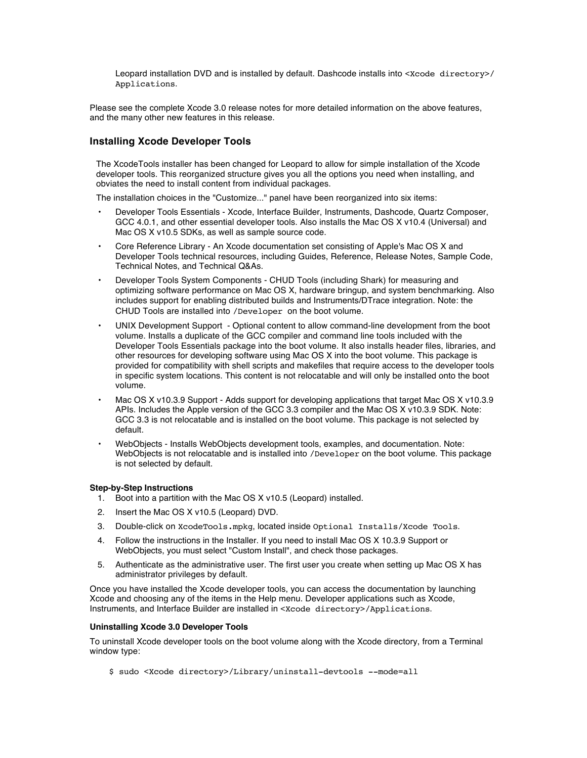Leopard installation DVD and is installed by default. Dashcode installs into <xcode directory>/ Applications.

Please see the complete Xcode 3.0 release notes for more detailed information on the above features, and the many other new features in this release.

# **Installing Xcode Developer Tools**

The XcodeTools installer has been changed for Leopard to allow for simple installation of the Xcode developer tools. This reorganized structure gives you all the options you need when installing, and obviates the need to install content from individual packages.

The installation choices in the "Customize..." panel have been reorganized into six items:

- Developer Tools Essentials Xcode, Interface Builder, Instruments, Dashcode, Quartz Composer, GCC 4.0.1, and other essential developer tools. Also installs the Mac OS X v10.4 (Universal) and Mac OS X v10.5 SDKs, as well as sample source code.
- Core Reference Library An Xcode documentation set consisting of Apple's Mac OS X and Developer Tools technical resources, including Guides, Reference, Release Notes, Sample Code, Technical Notes, and Technical Q&As.
- Developer Tools System Components CHUD Tools (including Shark) for measuring and optimizing software performance on Mac OS X, hardware bringup, and system benchmarking. Also includes support for enabling distributed builds and Instruments/DTrace integration. Note: the CHUD Tools are installed into /Developer on the boot volume.
- UNIX Development Support Optional content to allow command-line development from the boot volume. Installs a duplicate of the GCC compiler and command line tools included with the Developer Tools Essentials package into the boot volume. It also installs header files, libraries, and other resources for developing software using Mac OS X into the boot volume. This package is provided for compatibility with shell scripts and makefiles that require access to the developer tools in specific system locations. This content is not relocatable and will only be installed onto the boot volume.
- Mac OS X v10.3.9 Support Adds support for developing applications that target Mac OS X v10.3.9 APIs. Includes the Apple version of the GCC 3.3 compiler and the Mac OS X v10.3.9 SDK. Note: GCC 3.3 is not relocatable and is installed on the boot volume. This package is not selected by default.
- WebObjects Installs WebObjects development tools, examples, and documentation. Note: WebObjects is not relocatable and is installed into /Developer on the boot volume. This package is not selected by default.

# **Step-by-Step Instructions**

- 1. Boot into a partition with the Mac OS X v10.5 (Leopard) installed.
- 2. Insert the Mac OS X v10.5 (Leopard) DVD.
- 3. Double-click on XcodeTools.mpkg, located inside Optional Installs/Xcode Tools.
- 4. Follow the instructions in the Installer. If you need to install Mac OS X 10.3.9 Support or WebObjects, you must select "Custom Install", and check those packages.
- 5. Authenticate as the administrative user. The first user you create when setting up Mac OS X has administrator privileges by default.

Once you have installed the Xcode developer tools, you can access the documentation by launching Xcode and choosing any of the items in the Help menu. Developer applications such as Xcode, Instruments, and Interface Builder are installed in <Xcode directory>/Applications.

#### **Uninstalling Xcode 3.0 Developer Tools**

To uninstall Xcode developer tools on the boot volume along with the Xcode directory, from a Terminal window type:

\$ sudo <Xcode directory>/Library/uninstall-devtools --mode=all